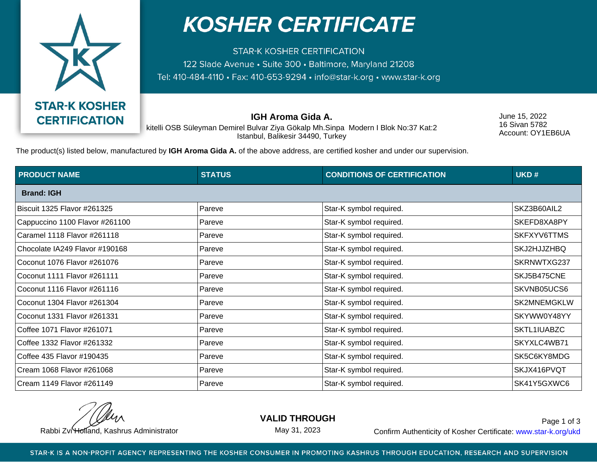

## **KOSHER CERTIFICATE**

**STAR-K KOSHER CERTIFICATION** 122 Slade Avenue • Suite 300 • Baltimore, Maryland 21208 Tel: 410-484-4110 · Fax: 410-653-9294 · info@star-k.org · www.star-k.org

**IGH Aroma Gida A.**

June 15, 2022 16 Sivan 5782 Account: OY1EB6UA

kitelli OSB Süleyman Demirel Bulvar Ziya Gökalp Mh.Sinpa Modern I Blok No:37 Kat:2 Istanbul, Balikesir 34490, Turkey

The product(s) listed below, manufactured by **IGH Aroma Gida A.** of the above address, are certified kosher and under our supervision.

| <b>PRODUCT NAME</b>            | <b>STATUS</b> | <b>CONDITIONS OF CERTIFICATION</b> | UKD#        |  |  |
|--------------------------------|---------------|------------------------------------|-------------|--|--|
| <b>Brand: IGH</b>              |               |                                    |             |  |  |
| Biscuit 1325 Flavor #261325    | Pareve        | Star-K symbol required.            | SKZ3B60AIL2 |  |  |
| Cappuccino 1100 Flavor #261100 | Pareve        | Star-K symbol required.            | SKEFD8XA8PY |  |  |
| Caramel 1118 Flavor #261118    | Pareve        | Star-K symbol required.            | SKFXYV6TTMS |  |  |
| Chocolate IA249 Flavor #190168 | Pareve        | Star-K symbol required.            | SKJ2HJJZHBQ |  |  |
| Coconut 1076 Flavor #261076    | Pareve        | Star-K symbol required.            | SKRNWTXG237 |  |  |
| Coconut 1111 Flavor #261111    | Pareve        | Star-K symbol required.            | SKJ5B475CNE |  |  |
| Coconut 1116 Flavor #261116    | Pareve        | Star-K symbol required.            | SKVNB05UCS6 |  |  |
| Coconut 1304 Flavor #261304    | Pareve        | Star-K symbol required.            | SK2MNEMGKLW |  |  |
| Coconut 1331 Flavor #261331    | Pareve        | Star-K symbol required.            | SKYWW0Y48YY |  |  |
| Coffee 1071 Flavor #261071     | Pareve        | Star-K symbol required.            | SKTL1IUABZC |  |  |
| Coffee 1332 Flavor #261332     | Pareve        | Star-K symbol required.            | SKYXLC4WB71 |  |  |
| Coffee 435 Flavor #190435      | Pareve        | Star-K symbol required.            | SK5C6KY8MDG |  |  |
| Cream 1068 Flavor #261068      | Pareve        | Star-K symbol required.            | SKJX416PVQT |  |  |
| Cream 1149 Flavor #261149      | Pareve        | Star-K symbol required.            | SK41Y5GXWC6 |  |  |

**VALID THROUGH**

May 31, 2023

Rabbi Zvi Holland, Kashrus Administrator **Confirm Authenticity of Kosher Certificate:** www.star-k.org/ukd Page 1 of 3

STAR-K IS A NON-PROFIT AGENCY REPRESENTING THE KOSHER CONSUMER IN PROMOTING KASHRUS THROUGH EDUCATION, RESEARCH AND SUPERVISION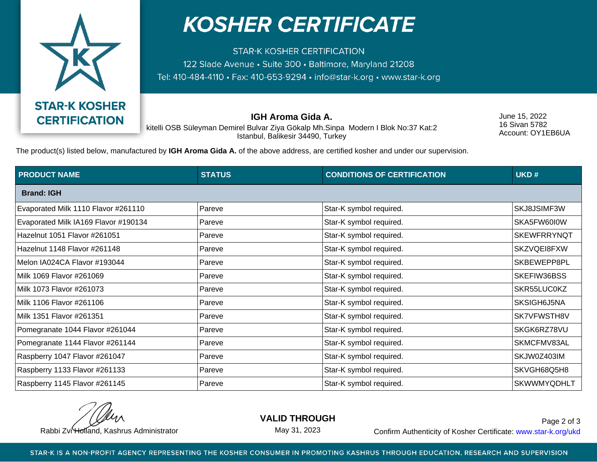

## **KOSHER CERTIFICATE**

**STAR-K KOSHER CERTIFICATION** 122 Slade Avenue • Suite 300 • Baltimore, Maryland 21208 Tel: 410-484-4110 · Fax: 410-653-9294 · info@star-k.org · www.star-k.org

**IGH Aroma Gida A.**

June 15, 2022 16 Sivan 5782 Account: OY1EB6UA

kitelli OSB Süleyman Demirel Bulvar Ziya Gökalp Mh.Sinpa Modern I Blok No:37 Kat:2 Istanbul, Balikesir 34490, Turkey

The product(s) listed below, manufactured by **IGH Aroma Gida A.** of the above address, are certified kosher and under our supervision.

| <b>PRODUCT NAME</b>                  | <b>STATUS</b> | <b>CONDITIONS OF CERTIFICATION</b> | UKD#               |  |  |
|--------------------------------------|---------------|------------------------------------|--------------------|--|--|
| <b>Brand: IGH</b>                    |               |                                    |                    |  |  |
| Evaporated Milk 1110 Flavor #261110  | Pareve        | Star-K symbol required.            | SKJ8JSIMF3W        |  |  |
| Evaporated Milk IA169 Flavor #190134 | Pareve        | Star-K symbol required.            | SKA5FW60I0W        |  |  |
| Hazelnut 1051 Flavor #261051         | Pareve        | Star-K symbol required.            | <b>SKEWFRRYNQT</b> |  |  |
| Hazelnut 1148 Flavor #261148         | Pareve        | Star-K symbol required.            | SKZVQEI8FXW        |  |  |
| Melon IA024CA Flavor #193044         | Pareve        | Star-K symbol required.            | SKBEWEPP8PL        |  |  |
| Milk 1069 Flavor #261069             | Pareve        | Star-K symbol required.            | SKEFIW36BSS        |  |  |
| Milk 1073 Flavor #261073             | Pareve        | Star-K symbol required.            | SKR55LUC0KZ        |  |  |
| Milk 1106 Flavor #261106             | Pareve        | Star-K symbol required.            | SKSIGH6J5NA        |  |  |
| Milk 1351 Flavor #261351             | Pareve        | Star-K symbol required.            | SK7VFWSTH8V        |  |  |
| Pomegranate 1044 Flavor #261044      | Pareve        | Star-K symbol required.            | SKGK6RZ78VU        |  |  |
| Pomegranate 1144 Flavor #261144      | Pareve        | Star-K symbol required.            | SKMCFMV83AL        |  |  |
| Raspberry 1047 Flavor #261047        | Pareve        | Star-K symbol required.            | SKJW0Z403IM        |  |  |
| Raspberry 1133 Flavor #261133        | Pareve        | Star-K symbol required.            | SKVGH68Q5H8        |  |  |
| Raspberry 1145 Flavor #261145        | Pareve        | Star-K symbol required.            | <b>SKWWMYQDHLT</b> |  |  |

**VALID THROUGH**

May 31, 2023

Rabbi Zvi Holland, Kashrus Administrator **Confirm Authenticity of Kosher Certificate:** www.star-k.org/ukd Page 2 of 3

STAR-K IS A NON-PROFIT AGENCY REPRESENTING THE KOSHER CONSUMER IN PROMOTING KASHRUS THROUGH EDUCATION, RESEARCH AND SUPERVISION